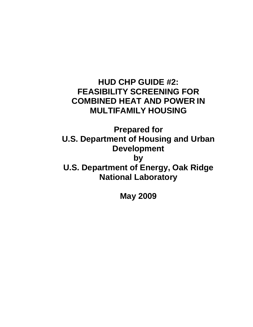**HUD CHP GUIDE #2: FEASIBILITY SCREENING FOR COMBINED HEAT AND POWER IN MULTIFAMILY HOUSING**

**Prepared for U.S. Department of Housing and Urban Development by U.S. Department of Energy, Oak Ridge National Laboratory**

**May 2009**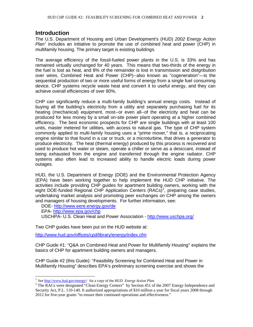# **Introduction**

The U.S. Department of Housing and Urban Development's (HUD) *2002 Energy Action*  Plan<sup>[1](#page-1-0)</sup> includes an initiative to promote the use of combined heat and power (CHP) in multifamily housing. The primary target is existing buildings.

The average efficiency of the fossil-fueled power plants in the U.S. is 33% and has remained virtually unchanged for 40 years. This means that two-thirds of the energy in the fuel is lost as heat, and 8% of the remainder is lost in transmission and distgribution over wires. Combined Heat and Power (CHP)--also known as "cogeneration"—is the sequential production of two or more useful forms of energy from a single fuel consuming device. CHP systems recycle waste heat and convert it to useful energy, and they can achieve overall efficiencies of over 80%.

CHP can significantly reduce a multi-family building's annual energy costs. Instead of buying all the building's electricity from a utility and separately purchasing fuel for its heating (mechanical) equipment, most--or even all--of the electricity and heat can be produced for less money by a small on-site power plant operating at a higher combined efficiency. The best economic prospects for CHP are single buildings with at least 100 units, master metered for utilities, with access to natural gas. The type of CHP system commonly applied to multi-family housing uses a "prime mover," that is, a reciprocating engine similar to that found in a car or truck, or a microturbine, that drives a generator to produce electricity. The heat (thermal energy) produced by this process is recovered and used to produce hot water or steam, operate a chiller or serve as a desiccant, instead of being exhausted from the engine and transferred through the engine radiator. CHP systems also often lead to increased ability to handle electric loads during power outages.

HUD, the U.S. Department of Energy (DOE) and the Environmental Protection Agency (EPA) have been working together to help implement the HUD CHP initiative. The activities include providing CHP guides for apartment building owners, working with the eight DOE-funded Regional CHP Application Centers  $(RACs)^2$  $(RACs)^2$ , preparing case studies, undertaking market analysis and promoting peer exchanges on CHP among the owners and managers of housing developments. For further information, see:

DOE- http://www.eere.energy.gov/de EPA- <http://www.epa.gov/chp> USCHPA- U.S. Clean Heat and Power Association - <http://www.uschpa.org/>

Two CHP guides have been put on the HUD website at:

<http://www.hud.gov/offices/cpd/library/energy/index.cfm>

CHP Guide #1: "Q&A on Combined Heat and Power for Multifamily Housing" explains the basics of CHP for apartment building owners and managers.

CHP Guide #2 (this Guide): "Feasibility Screening for Combined Heat and Power in Multifamily Housing" describes EPA's preliminary screening exercise and shows the

<span id="page-1-1"></span><span id="page-1-0"></span><sup>&</sup>lt;sup>1</sup> See [http://www.hud.gov/energy//](http://www.hud.gov/energy) for a copy of the HUD *Energy Action Plan*.<br><sup>2</sup> The RACs were designated "Clean Energy Centers" by Section 451 of the 2007 Energy Independence and Security Act, P.L. 110-140. It authorized appropriations of \$10 million a year for fiscal years 2008 through 2012 for five-year grants "to ensure their continued operations and effectiveness."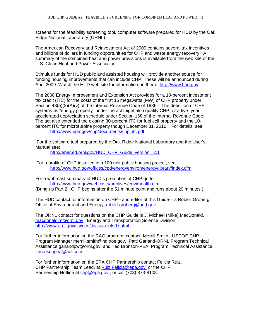screens for the feasibility screening tool, computer software prepared for HUD by the Oak Ridge National Laboratory (ORNL).

The American Recovery and Reinvestment Act of 2009 contains several tax incentives and billions of dollars in funding opportunities for CHP and waste energy recovery. A summary of the combined heat and power provisions is available from the web site of the U.S. Clean Heat and Power Association.

Stimulus funds for HUD public and assisted housing will provide another source for funding housing improvements that can include CHP. These will be announced during April 2009. Watch the HUD web site for information on them: [http://www.hud.gov](http://www.hud.gov/)

The 2008 Energy Improvement and Extension Act provides for a 10-percent investment tax credit (ITC) for the costs of the first 15 megawatts (MW) of CHP property under Section  $48(a)(3)(A)(v)$  of the Internal Revenue Code of 1986. The definition of CHP systems as "energy property" under the act might also qualify CHP for a five- year accelerated depreciation schedule under Section 168 of the Internal Revenue Code. The act also extended the existing 30-percent ITC for fuel cell property and the 10 percent ITC for microturbine property though December 31, 2016. For details, see: [http://www.epa.gov/chp/documents/chp\\_itc.pdf](http://www.epa.gov/chp/documents/chp_itc.pdf)

For the software tool prepared by the Oak Ridge National Laboratory and the User's Manual see:

http://eber.ed.ornl.gov/HUD\_CHP\_Guide\_version 2.1

For a profile of CHP installed in a 100 unit public housing project, see: <http://www.hud.gov/offices/cpd/energyenviron/energy/library/index.cfm>

For a web-cast summary of HUD's promotion of CHP go to: <http://www.hud.gov/webcasts/archives/envirhealth.cfm> (Bring up Part 2. CHP begins after the 51 minute point and runs about 20 minutes.)

The HUD contact for information on CHP-- and editor of this Guide-- is Robert Groberg, Office of Environment and Energy, [robert.groberg@hud.gov](mailto:robert.groberg@hud.gov)

The ORNL contact for questions on the CHP Guide is J. Michael (Mike) MacDonald, [macdonaldjm@ornl.gov](mailto:macdonaldjm@ornl.gov) , Energy and Transportation Science Division [http://www.ornl.gov/sci/ees/division\\_etsd.shtml](http://www.ornl.gov/sci/ees/division_etsd.shtml)

For further information on the RAC program, contact Merrill Smith, USDOE CHP Program Manager merrill.smith@hq.doe.gov, Patti Garland-ORNL Program Technical Assistance garlandpw@ornl.gov, and Ted Bronson-PEA, Program Technical Assistance. [tlbronsonpea@aol.com](mailto:tlbronsonpea@aol.com) .

For further information on the EPA CHP Partnership contact Felicia Ruiz, CHP Partnership Team Lead, at [Ruiz.Felicia@epa.gov](mailto:Ruiz.Felicia@epa.gov) or the CHP Partnership Hotline at chp@epa.gov or call (703) 373-8108.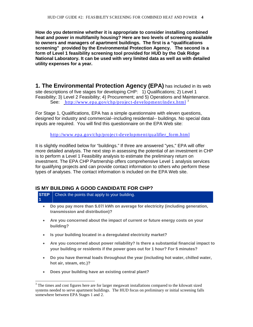**How do you determine whether it is appropriate to consider installing combined heat and power in multifamily housing? Here are two levels of screening available to owners and managers of apartment buildings. The first is a "qualifications screening" provided by the Environmental Protection Agency. The second is a form of Level 1 feasibility screening tool provided for HUD by the Oak Ridge National Laboratory. It can be used with very limited data as well as with detailed utility expenses for a year.**

**1. The Environmental Protection Agency (EPA)** has included in its web site descriptions of five stages for developing CHP: 1) Qualifications; 2) Level 1 Feasibility; 3) Level 2 Feasibility; 4) Procurement; and 5) Operations and Maintenance. See: <http://www.epa.gov/chp/project-development/index.html><sup>[3](#page-3-0)</sup>

For Stage 1, Qualifications, EPA has a simple questionnaire with eleven questions, designed for industry and commercial--including residential-- buildings. No special data inputs are required. You will find this questionnaire on the EPA Web site:

[http://www.epa.gov/chp/project-development/qualifier\\_form.html](http://www.epa.gov/chp/project-development/qualifier_form.html)

It is slightly modified below for "buildings." If three are answered "yes," EPA will offer more detailed analysis. The next step in assessing the potential of an investment in CHP is to perform a Level 1 Feasibility analysis to estimate the preliminary return on investment. The EPA CHP Partnership offers comprehensive Level 1 analysis services for qualifying projects and can provide contact information to others who perform these types of analyses. The contact information is included on the EPA Web site.

# **IS MY BUILDING A GOOD CANDIDATE FOR CHP?**

**STEP 1**  Check the points that apply to your building.

- **Do you pay more than \$.07/ kWh on average for electricity (including generation, transmission and distribution)?**
- **Are you concerned about the impact of current or future energy costs on your building?**
- **Is your building located in a deregulated electricity market?**
- **Are you concerned about power reliability? Is there a substantial financial impact to your building or residents if the power goes out for 1 hour? For 5 minutes?**
- **Do you have thermal loads throughout the year (including hot water, chilled water, hot air, steam, etc.)?**
- **Does your building have an existing central plant?**

<span id="page-3-0"></span><sup>&</sup>lt;sup>3</sup> The times and cost figures here are for larger megawatt installations compared to the kilowatt sized systems needed to serve apartment buildings. The HUD focus on preliminary or initial screening falls somewhere between EPA Stages 1 and 2.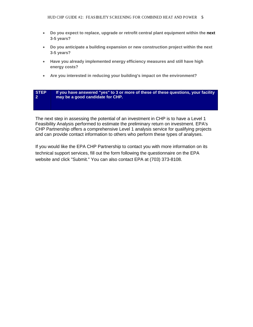- **Do you expect to replace, upgrade or retrofit central plant equipment within the next 3-5 years?**
- **Do you anticipate a building expansion or new construction project within the next 3-5 years?**
- **Have you already implemented energy efficiency measures and still have high energy costs?**
- **Are you interested in reducing your building's impact on the environment?**

#### **STEP 2 If you have answered "yes" to 3 or more of these of these questions, your facility may be a good candidate for CHP.**

The next step in assessing the potential of an investment in CHP is to have a Level 1 Feasibility Analysis performed to estimate the preliminary return on investment. EPA's CHP Partnership offers a comprehensive Level 1 analysis service for qualifying projects and can provide contact information to others who perform these types of analyses.

If you would like the EPA CHP Partnership to contact you with more information on its technical support services, fill out the form following the questionnaire on the EPA website and click "Submit." You can also contact EPA at (703) 373-8108.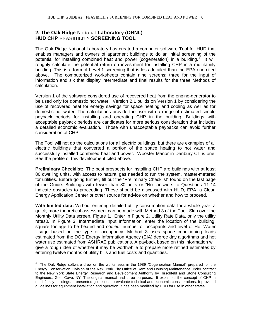# **2. The Oak Ridge** National **Laboratory (ORNL) HUD CHP** FEASIBILITY **SCREENING TOOL**

The Oak Ridge National Laboratory has created a computer software Tool for HUD that enables managers and owners of apartment buildings to do an initial screening of the potential for installing combined heat and power (cogeneration) in a building.<sup>[4](#page-5-0)</sup> It will roughly calculate the potential return on investment for installing CHP in a multifamily building. This is a form of Level 1 screening that is less-detailed than the EPA one cited above. The computerized worksheets contain nine screens: three for the input of information and six that display intermediate and final results for the three Methods of calculation.

Version 1 of the software considered use of recovered heat from the engine-generator to be used only for domestic hot water. Version 2.1 builds on Version 1 by considering the use of recovered heat for energy savings for space heating and cooling as well as for domestic hot water. The calculations provide the user with a range of estimated simple payback periods for installing and operating CHP in the building. Buildings with acceptable payback periods are candidates for more serious consideration that includes a detailed economic evaluation. Those with unacceptable paybacks can avoid further consideration of CHP.

The Tool will not do the calculations for all electric buildings, but there are examples of all electric buildings that converted a portion of the space heating to hot water and successfully installed combined heat and power. Wooster Manor in Danbury CT is one. See the profile of this development cited above.

**Preliminary Checklist:** The best prospects for installing CHP are buildings with at least 80 dwelling units, with access to natural gas needed to run the system, master-metered for utilities. Before going further, fill out the "Preliminary Checklist" found on the last page of the Guide. Buildings with fewer than 80 units or "No" answers to Questions 11-14 indicate obstacles to proceeding. These should be discussed with HUD, EPA, a Clean Energy Application Center or other source for advice on whether and how to proceed.

**With limited data:** Without entering detailed utility consumption data for a whole year, a quick, more theoretical assessment can be made with Method 3 of the Tool. Skip over the Monthly Utility Data screen, Figure 1. Enter in Figure 2, Utility Rate Data, only the utility rates0. In Figure 3, Intermediate Input Information, enter the location of the building, square footage to be heated and cooled, number of occupants and level of Hot Water Usage based on the type of occupancy. Method 3 uses space conditioning loads estimated from the DOE Energy Information Agency (EIA) degree day algorithms and hot water use estimated from ASHRAE publications. A payback based on this information will give a rough idea of whether it may be worthwhile to prepare more refined estimates by entering twelve months of utility bills and fuel costs and quantities.

<span id="page-5-0"></span> $\frac{1}{4}$  The Oak Ridge software drew on the worksheets in the 1989 "Cogeneration Manual" prepared for the Energy Conservation Division of the New York City Office of Rent and Housing Maintenance under contract to the New York State Energy Research and Development Authority by Hirschfeld and Stone Consulting Engineers, Glen Cove, NY. The original manual had three purposes: It explained the concept of CHP in multi-family buildings. It presented guidelines to evaluate technical and economic considerations. It provided guidelines for equipment installation and operation. It has been modified by HUD for use in other states.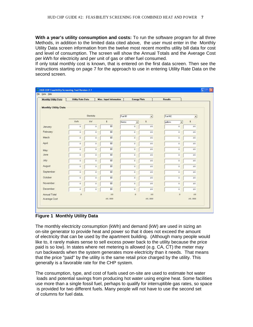**With a year's utility consumption and costs:** To run the software program for all three Methods, in addition to the limited data cited above, the user must enter in the Monthly Utility Data screen information from the twelve most recent months utility bill data for cost and level of consumption. The screen will show the Annual Totals and the Average Cost per kWh for electricity and per unit of gas or other fuel consumed.

If only total monthly cost is known, that is entered on the first data screen. Then see the instructions starting on page 7 for the approach to use in entering Utility Rate Data on the second screen.

| <b>Monthly Utility Data</b> | <b>Utility Rate Data</b> |                     | <b>Misc. Input Information</b> | <b>Energy Plots</b>               |                          | <b>Results</b>                      |                 |
|-----------------------------|--------------------------|---------------------|--------------------------------|-----------------------------------|--------------------------|-------------------------------------|-----------------|
| <b>Monthly Utility Data</b> |                          |                     |                                |                                   |                          |                                     |                 |
|                             |                          | Electricity         |                                | Fuel #1                           | $\overline{\phantom{0}}$ | Fuel #2                             | ×               |
|                             | kwh                      | kW.                 | $\ddot{\phantom{1}}$           | therms<br>$\overline{\mathbf{z}}$ | \$.                      | gallons<br>$\overline{\phantom{a}}$ | $\ddot{\bm{x}}$ |
| January                     | o                        | $\alpha$            | \$0                            | $\mathbf{0}$                      | 50.                      | Ü.                                  | \$0             |
| February                    | $\alpha$                 | $\mathbf{0}$        | \$0                            | $\circ$                           | \$0                      | o.                                  | \$0             |
| March                       | $\circ$                  | $\circ$             | \$0                            | $\mathbf{0}$                      | \$0                      | $\theta$                            | \$0             |
| April                       | $\circ$                  | $\circ$             | 釖                              | $\mathbf{0}$                      | \$0                      | 0                                   | \$0             |
| May                         | $\circ$                  | $\theta$            | \$0                            | $\ddot{\text{o}}$                 | \$0\$                    | 0.                                  | \$0             |
| June                        | o                        | $\mathbf{0}$        | \$0                            | $\theta$                          | \$0                      | $\mathbf{0}$                        | \$0             |
| July                        | $\circ$                  | $\mathbf{0}$        | 如                              | $\circ$                           | 20                       | $\theta$                            | \$0             |
| August                      | $\theta$                 | $\ddot{\mathbf{0}}$ | 釖                              | $\sigma$                          | 20                       | O.                                  | \$0             |
| September                   | $\circ$                  | $\mathbf{O}$        | \$0                            | $\sigma$                          | \$0                      | 0                                   | \$0             |
| October                     | $\circ$                  | $\circ$             | \$0                            | $\sigma$                          | \$0                      | $\mathbf{0}$                        | \$0             |
| November                    | $\circ$                  | $\circ$             | \$0                            | $\sigma$                          | \$0                      | o                                   | \$0             |
| December                    | $\mathbf{0}$             | $\circ$             | 如                              | $\circ$                           | \$0                      | o                                   | \$0             |
| Annual Total                | $\circ$                  |                     | $10^{-1}$                      | $\Omega$                          | $10^{-1}$                | $\circ$                             | \$0             |
| Average Cost                |                          |                     | \$0.000                        |                                   | \$0.000                  |                                     | \$0.000         |

**Figure 1 Monthly Utility Data**

The monthly electricity consumption (kWh) and demand (kW) are used in sizing an on-site generator to provide heat and power so that it does not exceed the amount of electricity that can be used by the apartment building. (Although many people would like to, it rarely makes sense to sell excess power back to the utility because the price paid is so low). In states where net metering is allowed (e.g. CA, CT) the meter may run backwards when the system generates more electricity than it needs. That means that the price "paid" by the utility is the same retail price charged by the utility. This generally is a favorable rate for the CHP system.

The consumption, type, and cost of fuels used on-site are used to estimate hot water loads and potential savings from producing hot water using engine heat. Some facilities use more than a single fossil fuel, perhaps to qualify for interruptible gas rates, so space is provided for two different fuels. Many people will not have to use the second set of columns for fuel data.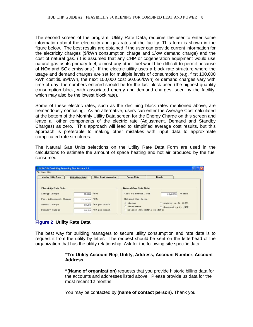The second screen of the program, Utility Rate Data, requires the user to enter some information about the electricity and gas rates at the facility. This form is shown in the figure below. The best results are obtained if the user can provide current information for the electricity charges (\$/kWh consumption charge and \$/kW demand charge) and the cost of natural gas. (It is assumed that any CHP or cogeneration equipment would use natural gas as its primary fuel; almost any other fuel would be difficult to permit because of NOx and SOx emissions.) If the electric utility uses a block rate structure where the usage and demand charges are set for multiple levels of consumption (e.g. first 100,000 kWh cost \$0.89/kWh, the next 100,000 cost \$0.056/kWh) or demand charges vary with time of day, the numbers entered should be for the last block used (the highest quantity consumption block, with associated energy and demand charges, seen by the facility, which may also be the lowest block rate).

Some of these electric rates, such as the declining block rates mentioned above, are tremendously confusing. As an alternative, users can enter the Average Cost calculated at the bottom of the Monthly Utility Data screen for the Energy Charge on this screen and leave all other components of the electric rate (Adjustment, Demand and Standby Charges) as zero. This approach will lead to simplified average cost results, but this approach is preferable to making other mistakes with input data to approximate complicated rate structures.

The Natural Gas Units selections on the Utility Rate Data Form are used in the calculations to estimate the amount of space heating and hot air produced by the fuel consumed.

| <b>Monthly Utility Data</b>  | <b>Utility Rate Data</b> | <b>Misc. Input Information</b> | <b>Energy Plots</b>           | <b>Results</b>         |           |
|------------------------------|--------------------------|--------------------------------|-------------------------------|------------------------|-----------|
|                              |                          |                                | <b>Natural Gas Rate Data</b>  |                        |           |
| <b>Electricity Rate Data</b> |                          |                                |                               |                        |           |
| Energy Charge                | \$0,0000 /kWh            |                                | Cost of Natural Gas           | \$0,0000               | $/$ therm |
| Fuel Adjustment Charge       | \$0.0000 /kWh            |                                | Natural Gas Units             |                        |           |
| Demand Charge                |                          | \$0.00 /kW per month           | G therms                      | C hundred cu ft (CCF)  |           |
|                              |                          |                                | decatherms                    | C thousand cu ft (MCF) |           |
|                              |                          | \$0.00 /kW per month           | C million Btu (MMBtu or MBtu) |                        |           |

### **Figure 2 Utility Rate Data**

The best way for building managers to secure utility consumption and rate data is to request it from the utility by letter. The request should be sent on the letterhead of the organization that has the utility relationship. Ask for the following site specific data:

> **"To: Utility Account Rep**, **Utility, Address, Account Number, Account Address,**

> **"(Name of organization)** requests that you provide historic billing data for the accounts and addresses listed above. Please provide us data for the most recent 12 months.

You may be contacted by **(name of contact person).** Thank you."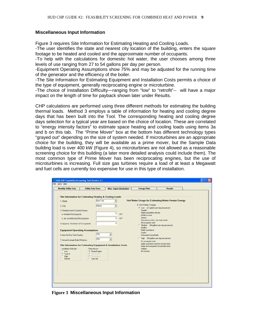#### **Miscellaneous Input Information**

Figure 3 requires Site Information for Estimating Heating and Cooling Loads.

-The user identifies the state and nearest city location of the building, enters the square footage to be heated and cooled and the approximate number of occupants.

-To help with the calculations for domestic hot water, the user chooses among three levels of use ranging from 27 to 54 gallons per day per person.

-Equipment Operating Assumptions show 75% and may be adjusted for the running time of the generator and the efficiency of the boiler.

-The Site Information for Estimating Equipment and Installation Costs permits a choice of the type of equipment, generally reciprocating engine or microturbine.

-The choice of Installation Difficulty—ranging from "low" to "retrofit"-- will have a major impact on the length of time for payback shown later under Results.

CHP calculations are performed using three different methods for estimating the building thermal loads. Method 3 employs a table of information for heating and cooling degree days that has been built into the Tool. The corresponding heating and cooling degree days selection for a typical year are based on the choice of location. These are correlated to "energy intensity factors" to estimate space heating and cooling loads using items 3a and b on this tab. The "Prime Mover" box at the bottom has different technology types "grayed out" depending on the size of system needed. If microturbines are an appropriate choice for the building, they will be available as a prime mover, but the Sample Data building load is over 400 kW (Figure 4), so microturbines are not allowed as a reasonable screening choice for this building (a later more detailed analysis could include them). The most common type of Prime Mover has been reciprocating engines, but the use of microturbines is increasing. Full size gas turbines require a load of at least a Megawatt and fuel cells are currently too expensive for use in this type of installation.

| <b>Monthly Utility Data</b>                                               | <b>Utility Rate Data</b> |                       |                          | Misc. Input Information | <b>Energy Plots</b>                                          | <b>Results</b> |  |
|---------------------------------------------------------------------------|--------------------------|-----------------------|--------------------------|-------------------------|--------------------------------------------------------------|----------------|--|
|                                                                           |                          |                       |                          |                         |                                                              |                |  |
| <b>Site Information for Estimating Heating &amp; Cooling Loads</b>        |                          |                       |                          |                         |                                                              |                |  |
| 1. State                                                                  |                          | New York              | $\mathbf{v}$             |                         | Hot Water Usage for Estimating Water Heater Energy           |                |  |
|                                                                           |                          |                       |                          |                         |                                                              |                |  |
| 2. City                                                                   |                          | Albany                | $\blacktriangledown$     |                         | 5. Hot Water Usage:<br>6 Low [27 gallons per day per person] |                |  |
| 3. Heated and Cooled Areas:                                               |                          |                       |                          |                         | <b>Couples</b>                                               |                |  |
| a. heated floorspace                                                      |                          |                       | O                        | sa ft                   | Higher population density                                    |                |  |
|                                                                           |                          |                       |                          |                         | Middle income<br>Seniors.                                    |                |  |
| b. air conditioned floorspace.                                            |                          |                       | Ü.                       | sgit                    | One person works, one stays home                             |                |  |
| 4. Approx. Number of Occupants                                            |                          |                       | o                        |                         | All accupants work                                           |                |  |
|                                                                           |                          |                       |                          |                         | ( Medium (44 gallons per day per person)<br>Families         |                |  |
| <b>Equipment Operating Assumptions</b>                                    |                          |                       |                          |                         | Public assistance                                            |                |  |
|                                                                           |                          | 75%                   | $\overline{\phantom{a}}$ |                         | <b>Singles</b>                                               |                |  |
| 6. Gen-Set Run Time Fraction:                                             |                          |                       |                          |                         | One-parent households                                        |                |  |
| 7. Annual Average Boiler Efficiency.                                      |                          | 75%                   | $\overline{\phantom{a}}$ |                         | ( High [54 gallons per day per person)<br>No occupants work  |                |  |
|                                                                           |                          |                       |                          |                         | public assistance and low income (mix).                      |                |  |
| <b>Site Information for Estimating Equipment &amp; Installation Costs</b> |                          |                       |                          |                         | family and one-parent households (mix)                       |                |  |
| Installation Difficulty<br>C Low                                          | <b>Prime Mover</b>       | <b>6</b> Recip-Engine |                          |                         | children<br>low income                                       |                |  |
| ( Typical                                                                 |                          | C Gas Turbine         |                          |                         |                                                              |                |  |
| C High                                                                    |                          | C Misroturbine        |                          |                         |                                                              |                |  |
| C Retrofit                                                                | C Fuel Cell              |                       |                          |                         |                                                              |                |  |
|                                                                           |                          |                       |                          |                         |                                                              |                |  |
|                                                                           |                          |                       |                          |                         |                                                              |                |  |
|                                                                           |                          |                       |                          |                         |                                                              |                |  |
|                                                                           |                          |                       |                          |                         |                                                              |                |  |
|                                                                           |                          |                       |                          |                         |                                                              |                |  |

**Figure 3 Miscellaneous Input Information**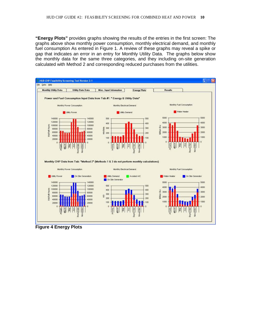**"Energy Plots"** provides graphs showing the results of the entries in the first screen: The graphs above show monthly power consumption, monthly electrical demand, and monthly fuel consumption As entered in Figure 1. A review of these graphs may reveal a spike or gap that indicates an error in an entry for Monthly Utility Data. The graphs below show the monthly data for the same three categories, and they including on-site generation calculated with Method 2 and corresponding reduced purchases from the utilities.



**Figure 4 Energy Plots**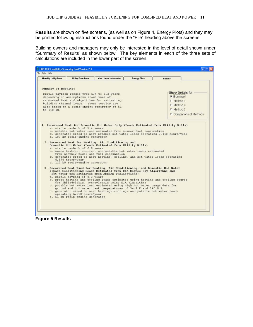**Results** are shown on five screens, (as well as on Figure 4, Energy Plots) and they may be printed following instructions found under the "File" heading above the screens.

Building owners and managers may only be interested in the level of detail shown under "Summary of Results" as shown below. The key elements in each of the three sets of calculations are included in the lower part of the screen.

| <b>Monthly Utility Data</b>              |                                                                                                                                                                                                                                                                 | <b>Misc. Input Information</b>                                                                                                                                                                                                                                                                                                                                                                                                                                                                                                                                                                                                                                                                                                                                                                                                                                                                                                                                                                                                                                                                                                       | <b>Energy Plots</b> | <b>Results</b>                                                                         |                              |
|------------------------------------------|-----------------------------------------------------------------------------------------------------------------------------------------------------------------------------------------------------------------------------------------------------------------|--------------------------------------------------------------------------------------------------------------------------------------------------------------------------------------------------------------------------------------------------------------------------------------------------------------------------------------------------------------------------------------------------------------------------------------------------------------------------------------------------------------------------------------------------------------------------------------------------------------------------------------------------------------------------------------------------------------------------------------------------------------------------------------------------------------------------------------------------------------------------------------------------------------------------------------------------------------------------------------------------------------------------------------------------------------------------------------------------------------------------------------|---------------------|----------------------------------------------------------------------------------------|------------------------------|
| <b>Summary of Results:</b><br>to 110 kW. | depending on assumptions about uses of<br>building thermal loads. These results are                                                                                                                                                                             | Simple payback ranges from 5.4 to 8.3 years<br>recovered heat and algorithms for estimating<br>also based on a recip-engine generator of 51                                                                                                                                                                                                                                                                                                                                                                                                                                                                                                                                                                                                                                                                                                                                                                                                                                                                                                                                                                                          |                     | Show Details for:<br><b>⊽</b> Summary<br>F Method 1<br>F Method 2<br>$\Gamma$ Method 3 | <b>Comparions of Methods</b> |
|                                          | a. simple payback of 5.4 years<br>d. 107 kW recip-engine generator<br>a. simple payback of 6.0 years<br>6,570 hours/year<br>d. 110 kW recip-engine generator<br>a. simple payback of 8.3 years<br>operating 6,570 hours/year<br>e. 51 kW recip-engine generator | 1. Recovered Heat for Domestic Hot Water Only (Loads Estimated from Utility Bills)<br>b. potable hot water load estimated from summer fuel consumption<br>c. generator sized to meet potable hot water loads operating 7,440 hours/year<br>2. Recovered Heat for Heating, Air Conditioning and<br>Domestic Hot Water (Loads Estimated from Utility Bills)<br>b. space heating, cooling, and potable hot water loads estimated<br>from monthly power and fuel consumption<br>c. generator sized to meet heating, cooling, and hot water loads operating<br>3. Recovered Heat Used for Heating, Air Conditioning, and Domestic Hot Water<br>(Space Conditioning Loads Estimated from EIA Degree-Day Algorithms and<br>Hot Water Use Estimated from ASHRAE Publications)<br>b. space heating and cooling loads estimated using heating and cooling degree<br>for Philadelphia, Pennsylvania using EIA algorithms<br>c. potable hot water load estimated using high hot water usage data for<br>ground and hot water tank temperatures of 54.1 F and 140.0 F<br>d. generator sized to meet heating, cooling, and potable hot water loads |                     |                                                                                        |                              |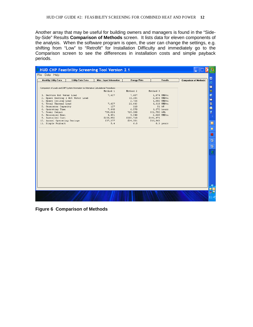Another array that may be useful for building owners and managers is found in the "Sideby-Side" Results **Comparison of Methods** screen. It lists data for eleven components of the analysis. When the software program is open, the user can change the settings, e.g. shifting from "Low" to "Retrofit" for Installation Difficulty and immediately go to the Comparison screen to see the differences in installation costs and simple payback periods.

| I HUD CHP Feasibility Screening Tool Version 2.1                                        |                                |                     |             |                            |                              |                |
|-----------------------------------------------------------------------------------------|--------------------------------|---------------------|-------------|----------------------------|------------------------------|----------------|
| File Data Help                                                                          |                                |                     |             |                            |                              |                |
| Monthly Utility Data<br><b>Utility Rate Data</b>                                        | <b>Misc. Input Information</b> | <b>Energy Plots</b> |             | <b>Results</b>             | <b>Comparison of Methods</b> | 図              |
|                                                                                         |                                |                     |             |                            |                              | S              |
| Comparison of Loads and CHP System Information for Alternative Calculational Procedures |                                |                     |             |                            |                              | Ξ              |
|                                                                                         | Method 1                       | Method 2            | Method 3    |                            |                              | 楽              |
| 1. Service Hot Water Load                                                               | 7,607                          | 7,607               |             | 1,874 MMBtu                |                              | $\bullet$      |
| 2. Space Heating & Hot Water Load<br>3. Space Cooling Load                              |                                | 11,281<br>2,756     |             | 2,835 MMBtu<br>1,909 MMBtu |                              | $\blacksquare$ |
| 4. Total Thermal Load                                                                   | 7,607                          | 21,643              |             | 6,618 MMBtu                |                              | ۰              |
| 5. Generator Capacity                                                                   | 107                            | 110                 |             | 51 kW                      |                              |                |
| 6. Operating Time                                                                       | 7,440                          | 6,570               |             | 6,570 hours                |                              | 曲              |
| 7. Power Output                                                                         | 799,014                        | 729,000             | 331,790 kWh |                            |                              | 8              |
| 8. Recovered Heat                                                                       | 4,451                          | 4,040               |             | 2,068 MMBtu                |                              | $\approx$      |
| 9. Installed Cost                                                                       | \$200,992                      | \$203,718           | \$141,471   |                            |                              | ومرمرة         |
| 10. Annual Operating Savings                                                            | \$37,377                       | \$34,001            | \$16,963    |                            |                              |                |
| 11. Simple Payback                                                                      | 5.4                            | 6.0                 |             | 8.3 years                  |                              | $\circ$        |
|                                                                                         |                                |                     |             |                            |                              | $\blacksquare$ |
|                                                                                         |                                |                     |             |                            |                              |                |
|                                                                                         |                                |                     |             |                            |                              | 巫              |
|                                                                                         |                                |                     |             |                            |                              | 画              |
|                                                                                         |                                |                     |             |                            |                              | 圈              |
|                                                                                         |                                |                     |             |                            |                              | $\blacksquare$ |
|                                                                                         |                                |                     |             |                            |                              |                |
|                                                                                         |                                |                     |             |                            |                              |                |
|                                                                                         |                                |                     |             |                            |                              |                |
|                                                                                         |                                |                     |             |                            |                              |                |
|                                                                                         |                                |                     |             |                            |                              |                |
|                                                                                         |                                |                     |             |                            |                              |                |
|                                                                                         |                                |                     |             |                            |                              |                |
|                                                                                         |                                |                     |             |                            |                              |                |
|                                                                                         |                                |                     |             |                            |                              | $\odot$        |
|                                                                                         |                                |                     |             |                            |                              | 国国             |
|                                                                                         |                                |                     |             |                            |                              | y5             |
|                                                                                         |                                |                     |             |                            |                              | 11:45          |
|                                                                                         |                                |                     |             |                            |                              |                |

**Figure 6 Comparison of Methods**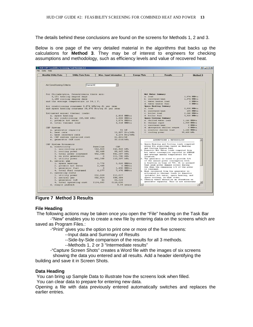The details behind these conclusions are found on the screens for Methods 1, 2 and 3.

Below is one page of the very detailed material in the algorithms that backs up the calculations for **Method 3**. They may be of interest to engineers for checking assumptions and methodology, such as efficiency levels and value of recovered heat.

| <b>Monthly Utility Data</b> | <b>Utility Rate Data</b>                             |                     | <b>Misc. Input Information</b> | <b>Energy Plots</b> |                  | <b>Results</b>                                                                    |             | Method 3 |
|-----------------------------|------------------------------------------------------|---------------------|--------------------------------|---------------------|------------------|-----------------------------------------------------------------------------------|-------------|----------|
| Air Conditioning Criteria   | Central AC                                           |                     | $\blacktriangledown$           |                     |                  |                                                                                   |             |          |
|                             |                                                      |                     |                                |                     |                  |                                                                                   |             |          |
|                             | For Philadelphia, Pennsylvania there are:            |                     |                                |                     |                  | <b>Hot Water Summary</b>                                                          |             |          |
|                             | 5,151 heating degree days                            |                     |                                |                     | a. load          |                                                                                   | 1,874 MMBtu |          |
|                             | 1,188 cooling degree days                            |                     |                                |                     |                  | b. recovered heat                                                                 | 1,874 MMBtu |          |
|                             | and the average temperature is 54.1 F.               |                     |                                |                     |                  | c. water heater load                                                              | 0 MMBtu     |          |
|                             |                                                      |                     |                                |                     |                  | d. water heater fuel                                                              | 0 MMBtu     |          |
|                             | Air conditioning consumes 0.974 kWh/sq ft per year   |                     |                                |                     |                  | <b>Space Heating Summary</b>                                                      |             |          |
|                             | and space heating consumes 38,570 Btu/sq ft per year |                     |                                |                     | a. load          |                                                                                   | 2,835 MMBtu |          |
|                             |                                                      |                     |                                |                     |                  | b. recovered heat                                                                 | 195 MMBtu   |          |
|                             | Estimated annual thermal loads:                      |                     |                                |                     | c. boiler load   |                                                                                   | 2.640 MMBtu |          |
| a. space heating            |                                                      |                     |                                | 2,835 MMBtu         | d. boiler fuel   |                                                                                   | 3,520 MMBtu |          |
|                             | b. air conditioning (95,468 kWh)                     |                     |                                | 1,909 MMBtu         |                  | <b>Space Cooling Summary</b>                                                      |             |          |
| c. potable hot water        |                                                      |                     |                                | 1,874 MMBtu         |                  | a. chilled water load                                                             | 1,146 MMBtu |          |
| d. total thermal load       |                                                      |                     |                                | 6,618 MMBtu         | b. thermal input |                                                                                   | 1,909 MMBtu |          |
|                             |                                                      |                     |                                |                     |                  | c. recovered heat                                                                 | 0 MMBtu     |          |
| CHP System                  |                                                      |                     |                                |                     |                  | d. absorption chiller output                                                      | 0 MMBtu     |          |
| a. generator capacity       |                                                      |                     |                                | 51 kW               |                  | e. electric chiller load                                                          | 1,146 MMBtu |          |
| b. heat rate                |                                                      |                     |                                | 11,907 Btu/kWh      |                  | f. cooling power                                                                  | 95,468 kWh  |          |
| c. heat recovery rate       |                                                      |                     |                                | 6,234 Btu/kWh       |                  |                                                                                   |             |          |
|                             | d. CHP system installed cost                         |                     | \$2,801/kW                     |                     |                  |                                                                                   |             |          |
| e. generator O&M cost       |                                                      |                     | \$0.019/kWh                    |                     |                  | ASSUMPTIONS & METHODOLOGY                                                         |             |          |
|                             |                                                      |                     |                                |                     |                  | 1. Space Heating and Cooling loads computed                                       |             |          |
| CHP System Economics        |                                                      | Baseline            | CHP                            |                     |                  | using EIA algorithms based on Heating                                             |             |          |
| a. electricity              |                                                      | 346,920             | 346,920 kWh                    |                     |                  | and Cooling Degree Days                                                           |             |          |
|                             | 1. non-cooling power                                 | 95,468              | 95,467 kWh                     |                     |                  | 2. Domestic Hot Water loads computed from                                         |             |          |
| 2. cooling power            |                                                      |                     |                                |                     |                  | hot water consumption reported in ASHRAE                                          |             |          |
|                             | 3. total power consumed<br>4. on site generation     | 442,388<br>$\Omega$ | 442,387 kWh<br>331,790 kWh     |                     |                  | and average annual temperature for the                                            |             |          |
| 5. utility power            |                                                      | 442,388             | 110,597 kWh                    |                     | location.        | 3. The generator is sized to provide 3/4                                          |             |          |
| b. natural gas              |                                                      |                     |                                |                     |                  | of the annual power consumption with                                              |             |          |
| 1. space heating            |                                                      | 3,779               |                                | 3,520 MMBtu         |                  | a fraction on time of 75%. It is assumed                                          |             |          |
|                             | 2. potable hot water                                 | 2,498               |                                | 0 MMBtu             |                  | that peak power demand occurs during                                              |             |          |
|                             | 3. generator fuel                                    | $\Omega$            |                                | 3,950 MMBtu         |                  | the when the remaining 1/4 of the power                                           |             |          |
|                             | 4. total fuel consumed                               | 6,277               |                                | 7,470 MMBtu         | is consumed.     |                                                                                   |             |          |
| c. operating costs          |                                                      |                     |                                |                     |                  | 4. Heat recovered from the generator is                                           |             |          |
| 1. utility power            |                                                      | \$52,069            | \$13,017                       |                     |                  | allocated to thermal loads to domestic<br>(potable) hot water, space heating, and |             |          |
| 2. natural gas              |                                                      | \$82,924            | \$98,684                       |                     |                  | space cooling, in that order.                                                     |             |          |
| 3. generator O&M            |                                                      | \$0                 | \$6,329                        |                     |                  | 5. Ideally there should be an iteration on                                        |             |          |
|                             | 4. total operating cost                              | \$134,993           | \$118,030                      |                     |                  | generator capacity. This is not necessary                                         |             |          |
| d. simple payback           |                                                      |                     |                                | 8.34 years          | 31               |                                                                                   |             |          |

**Figure 7 Method 3 Results**

#### **File Heading**

The following actions may be taken once you open the "File" heading on the Task Bar -"New" enables you to create a new file by entering data on the screens which are

saved as Program Files.:

-"Print" gives you the option to print one or more of the five screens:

--Input data and Summary of Results

--Side-by-Side comparison of the results for all 3 methods.

--Methods 1, 2 or 3 "Intermediate results"

-"Capture Screen Shots" creates a Word file with the images of six screens

 showing the data you entered and all results. Add a header identifying the building and save it in Screen Shots.

#### **Data Heading**

You can bring up Sample Data to illustrate how the screens look when filled.

You can clear data to prepare for entering new data.

Opening a file with data previously entered automatically switches and replaces the earlier entries.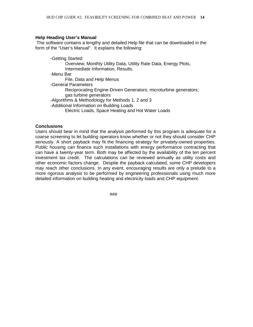### **Help Heading User's Manual**

The software contains a lengthy and detailed Help file that can be downloaded in the form of the "User's Manual". It explains the following:

-Getting Started Overview; Monthly Utility Data, Utility Rate Data, Energy Plots, Intermediate Information, Results. -Menu Bar File, Data and Help Menus -General Parameters Reciprocating Engine-Driven Generators; microturbine generators; gas turbine generators -Algorithms & Methodology for Methods 1, 2 and 3 -Additional Information on Building Loads Electric Loads, Space Heating and Hot Water Loads

### **Conclusions**

Users should bear in mind that the analysis performed by this program is adequate for a coarse screening to let building operators know whether or not they should consider CHP seriously. A short payback may fit the financing strategy for privately-owned properties. Public housing can finance such installations with energy performance contracting that can have a twenty-year term. Both may be affected by the availability of the ten percent investment tax credit. The calculations can be reviewed annually as utility costs and other economic factors change. Despite the payback calculated, some CHP developers may reach other conclusions. In any event, encouraging results are only a prelude to a more rigorous analysis to be performed by engineering professionals using much more detailed information on building heating and electricity loads and CHP equipment.

###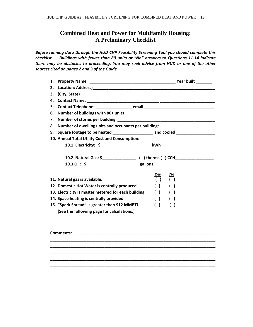# **Combined Heat and Power for Multifamily Housing: A Preliminary Checklist**

*Before running data through the HUD CHP Feasibility Screening Tool you should complete this checklist. Buildings with fewer than 80 units or "No" answers to Questions 11-14 indicate there may be obstacles to proceeding. You may seek advice from HUD or one of the other sources cited on pages 2 and 3 of the Guide.* 

| 1.  |                                                                                  |                                               |
|-----|----------------------------------------------------------------------------------|-----------------------------------------------|
| 2.  |                                                                                  |                                               |
| 3.  |                                                                                  |                                               |
| 4.  |                                                                                  |                                               |
| .5. |                                                                                  |                                               |
| 6.  |                                                                                  |                                               |
| 7.  |                                                                                  |                                               |
| 8.  | Number of dwelling units and occupants per building:____________________________ |                                               |
| 9.  | Square footage to be heated _________________________ and cooled _______________ |                                               |
|     | 10. Annual Total Utility Cost and Consumption:                                   |                                               |
|     |                                                                                  |                                               |
|     |                                                                                  |                                               |
|     |                                                                                  |                                               |
|     |                                                                                  |                                               |
|     |                                                                                  |                                               |
|     | 11. Natural gas is available.                                                    | $Yes$<br><u>No</u><br>( )                     |
|     | 12. Domestic Hot Water is centrally produced.                                    | $\left( \quad \right)$                        |
|     | 13. Electricity is master metered for each building                              | $( )$ $( )$                                   |
|     | 14. Space heating is centrally provided                                          | $\left( \begin{array}{c} \end{array} \right)$ |
|     | 15. "Spark Spread" is greater than \$12 MMBTU                                    | ( )                                           |
|     | [See the following page for calculations.]                                       |                                               |
|     |                                                                                  |                                               |

| <b>Comments:</b> |  |  |  |
|------------------|--|--|--|
|                  |  |  |  |
|                  |  |  |  |
|                  |  |  |  |
|                  |  |  |  |
|                  |  |  |  |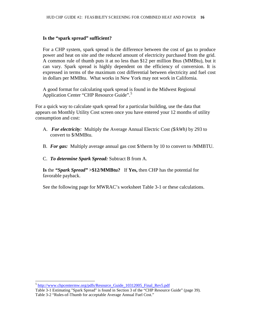#### **Is the "spark spread" sufficient?**

For a CHP system, spark spread is the difference between the cost of gas to produce power and heat on site and the reduced amount of electricity purchased from the grid. A common rule of thumb puts it at no less than \$12 per million Btus (MMBtu), but it can vary. Spark spread is highly dependent on the efficiency of conversion. It is expressed in terms of the maximum cost differential between electricity and fuel cost in dollars per MMBtu. What works in New York may not work in California.

A good format for calculating spark spread is found in the Midwest Regional Application Center "CHP Resource Guide".[5](#page-15-0)

For a quick way to calculate spark spread for a particular building, use the data that appears on Monthly Utility Cost screen once you have entered your 12 months of utility consumption and cost:

- A. *For electricity:* Multiply the Average Annual Electric Cost *(\$/kWh)* by 293 to convert to \$/MMBtu.
- B. *For gas:* Multiply average annual gas cost \$/therm by 10 to convert to /MMBTU.
- C. *To determine Spark Spread:* Subtract B from A.

**Is** the *"Spark Spread"* **>\$12/MMBtu?** If **Yes,** then CHP has the potential for favorable payback.

See the following page for MWRAC's worksheet Table 3-1 or these calculations.

<span id="page-15-0"></span> $5$  http://www.chpcentermw.org/pdfs/Resource Guide 10312005 Final Rev5.pdf

Table 3-1 Estimating "Spark Spread" is found in Section 3 of the "CHP Resource Guide" (page 39). Table 3-2 "Rules-of-Thumb for acceptable Average Annual Fuel Cost."